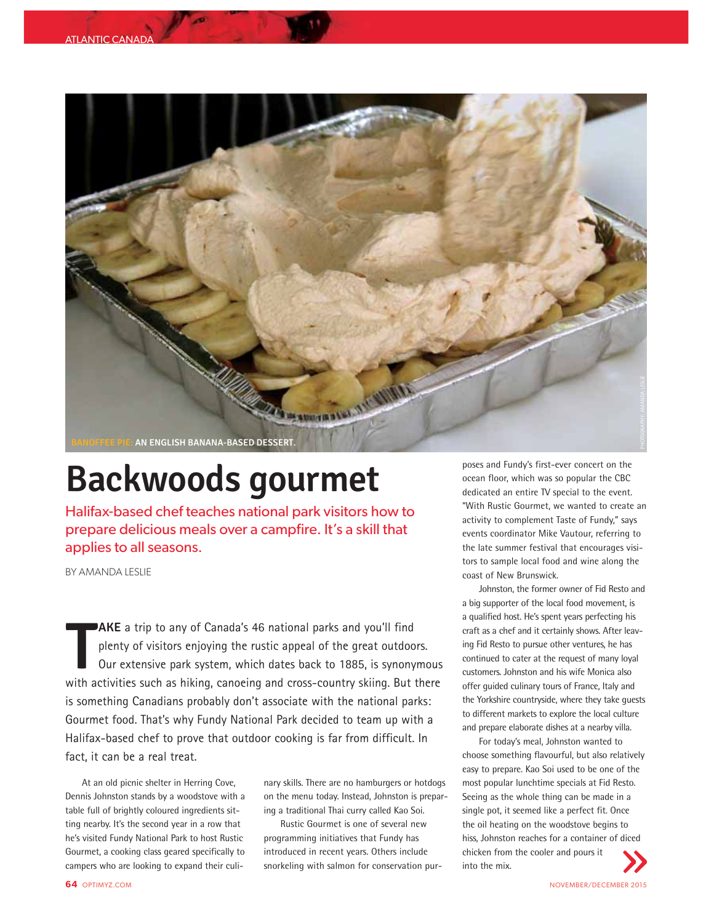

## **Backwoods gourmet**

Halifax-based chef teaches national park visitors how to prepare delicious meals over a campfire. It's a skill that applies to all seasons.

BY AMANDA LESLIE

**T** with activities such as hiking, canoeing and cross-country skiing. But there **AKE** a trip to any of Canada's 46 national parks and you'll find plenty of visitors enjoying the rustic appeal of the great outdoors. Our extensive park system, which dates back to 1885, is synonymous is something Canadians probably don't associate with the national parks: Gourmet food. That's why Fundy National Park decided to team up with a Halifax-based chef to prove that outdoor cooking is far from difficult. In fact, it can be a real treat.

At an old picnic shelter in Herring Cove, Dennis Johnston stands by a woodstove with a table full of brightly coloured ingredients sitting nearby. It's the second year in a row that he's visited Fundy National Park to host Rustic Gourmet, a cooking class geared specifically to campers who are looking to expand their culi-

nary skills. There are no hamburgers or hotdogs on the menu today. Instead, Johnston is preparing a traditional Thai curry called Kao Soi.

Rustic Gourmet is one of several new programming initiatives that Fundy has introduced in recent years. Others include snorkeling with salmon for conservation purposes and Fundy's first-ever concert on the ocean floor, which was so popular the CBC dedicated an entire TV special to the event. "With Rustic Gourmet, we wanted to create an activity to complement Taste of Fundy," says events coordinator Mike Vautour, referring to the late summer festival that encourages visitors to sample local food and wine along the coast of New Brunswick.

Johnston, the former owner of Fid Resto and a big supporter of the local food movement, is a qualified host. He's spent years perfecting his craft as a chef and it certainly shows. After leaving Fid Resto to pursue other ventures, he has continued to cater at the request of many loyal customers. Johnston and his wife Monica also offer guided culinary tours of France, Italy and the Yorkshire countryside, where they take guests to different markets to explore the local culture and prepare elaborate dishes at a nearby villa.

For today's meal, Johnston wanted to choose something flavourful, but also relatively easy to prepare. Kao Soi used to be one of the most popular lunchtime specials at Fid Resto. Seeing as the whole thing can be made in a single pot, it seemed like a perfect fit. Once the oil heating on the woodstove begins to hiss, Johnston reaches for a container of diced chicken from the cooler and pours it into the mix.